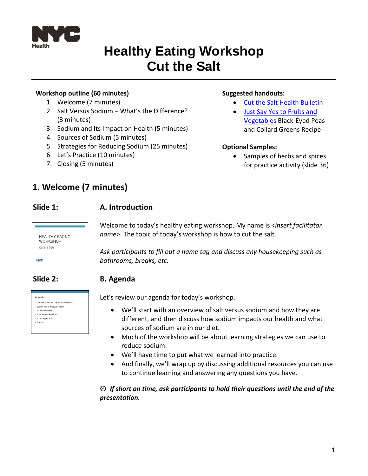

# **Healthy Eating Workshop Cut the Salt**

#### **Workshop outline (60 minutes)**

- 1. Welcome (7 minutes)
- 2. Salt Versus Sodium What's the Difference? (3 minutes)
- 3. Sodium and Its Impact on Health (5 minutes)
- 4. Sources of Sodium (5 minutes)
- 5. Strategies for Reducing Sodium (25 minutes)
- 6. Let's Practice (10 minutes)
- 7. Closing (5 minutes)

#### **Suggested handouts:**

- [Cut the Salt Health Bulletin](https://www1.nyc.gov/assets/doh/downloads/pdf/public/dohmhnews17-02.pdf)
- [Just Say Yes to Fruits and](https://www1.nyc.gov/assets/doh/downloads/pdf/cdp/stellar-farmers-markets-recipes.pdf)  [Vegetables](https://www1.nyc.gov/assets/doh/downloads/pdf/cdp/stellar-farmers-markets-recipes.pdf) Black-Eyed Peas and Collard Greens Recipe

#### **Optional Samples:**

• Samples of herbs and spices for practice activity (slide 36)

# **1. Welcome (7 minutes)**

#### **Slide 1: A. Introduction**

| <b>HEALTHY EATING</b><br><b>WORKSHOP</b> |  |
|------------------------------------------|--|
| Cut the Salt                             |  |
|                                          |  |
|                                          |  |

| Agenda                                        |
|-----------------------------------------------|
| · Salt versus sodium - what's the difference? |
| - Sodium and its impact on health             |
| · Sources of sodium                           |
| - Ways to reduce sodium                       |
| - Put it into practice                        |
| - Wrap up                                     |
|                                               |
|                                               |

Welcome to today's healthy eating workshop. My name is <*insert facilitator name*>. The topic of today's workshop is how to cut the salt.

*Ask participants to fill out a name tag and discuss any housekeeping such as bathrooms, breaks, etc.*

### **Slide 2: B. Agenda**

Let's review our agenda for today's workshop.

- We'll start with an overview of salt versus sodium and how they are different, and then discuss how sodium impacts our health and what sources of sodium are in our diet.
- Much of the workshop will be about learning strategies we can use to reduce sodium.
- We'll have time to put what we learned into practice.
- And finally, we'll wrap up by discussing additional resources you can use to continue learning and answering any questions you have.

*If short on time, ask participants to hold their questions until the end of the presentation.*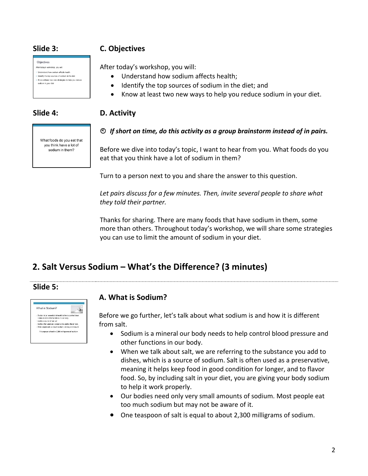| Objectives                                                                    |
|-------------------------------------------------------------------------------|
| After today's workshop, you will:                                             |
| 1 Understand how sodium affects health                                        |
| 2. Identify the top sources of sodium in the diet                             |
| 3. Know at least two new strategies to help you reduce<br>sodium in your diet |
|                                                                               |

### **Slide 3: C. Objectives**

After today's workshop, you will:

- Understand how sodium affects health;
- Identify the top sources of sodium in the diet; and
- Know at least two new ways to help you reduce sodium in your diet.

### **Slide 4: D. Activity**

What foods do you eat that you think have a lot of sodium in them?

#### *If short on time, do this activity as a group brainstorm instead of in pairs.*

Before we dive into today's topic, I want to hear from you. What foods do you eat that you think have a lot of sodium in them?

Turn to a person next to you and share the answer to this question.

Let pairs discuss for a few minutes. Then, invite several people to share what *they told their partner.*

Thanks for sharing. There are many foods that have sodium in them, some more than others. Throughout today's workshop, we will share some strategies you can use to limit the amount of sodium in your diet.

# **2. Salt Versus Sodium – What's the Difference? (3 minutes)**

### **Slide 5:**



### **A. What is Sodium?**

Before we go further, let's talk about what sodium is and how it is different from salt.

- Sodium is a mineral our body needs to help control blood pressure and other functions in our body.
- When we talk about salt, we are referring to the substance you add to dishes, which is a source of sodium. Salt is often used as a preservative, meaning it helps keep food in good condition for longer, and to flavor food. So, by including salt in your diet, you are giving your body sodium to help it work properly.
- Our bodies need only very small amounts of sodium. Most people eat too much sodium but may not be aware of it.
- One teaspoon of salt is equal to about 2,300 milligrams of sodium.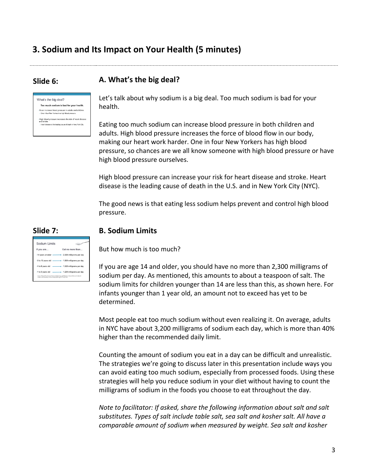# **3. Sodium and Its Impact on Your Health (5 minutes)**

#### **Slide 6: A. What's the big deal?**



Let's talk about why sodium is a big deal. Too much sodium is bad for your health.

Eating too much sodium can increase blood pressure in both children and adults. High blood pressure increases the force of blood flow in our body, making our heart work harder. One in four New Yorkers has high blood pressure, so chances are we all know someone with high blood pressure or have high blood pressure ourselves.

High blood pressure can increase your risk for heart disease and stroke. Heart disease is the leading cause of death in the U.S. and in New York City (NYC).

The good news is that eating less sodium helps prevent and control high blood pressure.

#### **Slide 7: B. Sodium Limits**

But how much is too much?

If you are age 14 and older, you should have no more than 2,300 milligrams of sodium per day. As mentioned, this amounts to about a teaspoon of salt. The sodium limits for children younger than 14 are less than this, as shown here. For infants younger than 1 year old, an amount not to exceed has yet to be determined.

Most people eat too much sodium without even realizing it. On average, adults in NYC have about 3,200 milligrams of sodium each day, which is more than 40% higher than the recommended daily limit.

Counting the amount of sodium you eat in a day can be difficult and unrealistic. The strategies we're going to discuss later in this presentation include ways you can avoid eating too much sodium, especially from processed foods. Using these strategies will help you reduce sodium in your diet without having to count the milligrams of sodium in the foods you choose to eat throughout the day.

*Note to facilitator: If asked, share the following information about salt and salt substitutes. Types of salt include table salt, sea salt and kosher salt. All have a comparable amount of sodium when measured by weight. Sea salt and kosher*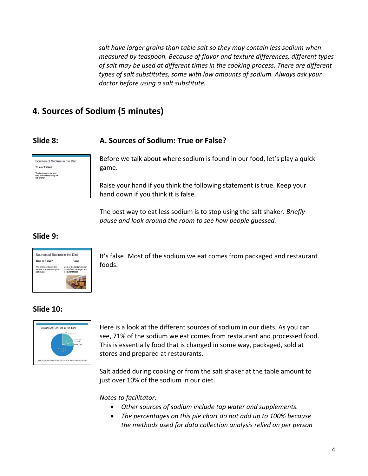*salt have larger grains than table salt so they may contain less sodium when measured by teaspoon. Because of flavor and texture differences, different types of salt may be used at different times in the cooking process. There are different types of salt substitutes, some with low amounts of sodium. Always ask your doctor before using a salt substitute.* 

### **4. Sources of Sodium (5 minutes)**

### **Slide 8: A. Sources of Sodium: True or False?**



Before we talk about where sodium is found in our food, let's play a quick game.

Raise your hand if you think the following statement is true. Keep your hand down if you think it is false.

The best way to eat less sodium is to stop using the salt shaker. *Briefly pause and look around the room to see how people guessed.* 

#### **Slide 9:**



It's false! Most of the sodium we eat comes from packaged and restaurant foods.

#### **Slide 10:**



Here is a look at the different sources of sodium in our diets. As you can see, 71% of the sodium we eat comes from restaurant and processed food. This is essentially food that is changed in some way, packaged, sold at stores and prepared at restaurants.

Salt added during cooking or from the salt shaker at the table amount to just over 10% of the sodium in our diet.

*Notes to facilitator:* 

- *Other sources of sodium include tap water and supplements.*
- *The percentages on this pie chart do not add up to 100% because the methods used for data collection analysis relied on per person*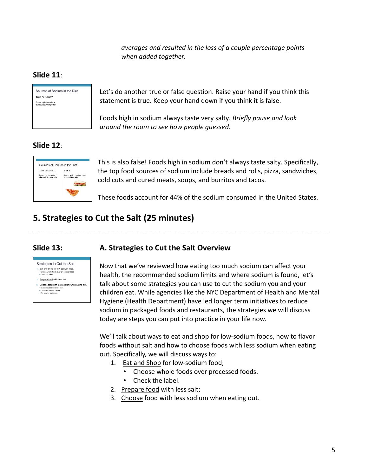*averages and resulted in the loss of a couple percentage points when added together.* 

### **Slide 11**:



Let's do another true or false question. Raise your hand if you think this statement is true. Keep your hand down if you think it is false.

Foods high in sodium always taste very salty. *Briefly pause and look around the room to see how people guessed.* 

### **Slide 12**:



This is also false! Foods high in sodium don't always taste salty. Specifically, the top food sources of sodium include breads and rolls, pizza, sandwiches, cold cuts and cured meats, soups, and burritos and tacos.

These foods account for 44% of the sodium consumed in the United States.

# **5. Strategies to Cut the Salt (25 minutes)**

#### **Slide 13: A. Strategies to Cut the Salt Overview**



Now that we've reviewed how eating too much sodium can affect your health, the recommended sodium limits and where sodium is found, let's talk about some strategies you can use to cut the sodium you and your children eat. While agencies like the NYC Department of Health and Mental Hygiene (Health Department) have led longer term initiatives to reduce sodium in packaged foods and restaurants, the strategies we will discuss today are steps you can put into practice in your life now.

We'll talk about ways to eat and shop for low-sodium foods, how to flavor foods without salt and how to choose foods with less sodium when eating out. Specifically, we will discuss ways to:

- 1. Eat and Shop for low-sodium food;
	- Choose whole foods over processed foods.
	- Check the label.
- 2. Prepare food with less salt;
- 3. Choose food with less sodium when eating out.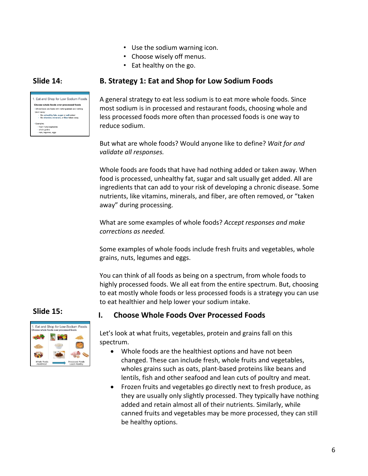- Use the sodium warning icon.
- Choose wisely off menus.
- Eat healthy on the go.

#### **Slide 14: B. Strategy 1: Eat and Shop for Low Sodium Foods**



A general strategy to eat less sodium is to eat more whole foods. Since most sodium is in processed and restaurant foods, choosing whole and less processed foods more often than processed foods is one way to reduce sodium.

But what are whole foods? Would anyone like to define? *Wait for and validate all responses.*

Whole foods are foods that have had nothing added or taken away. When food is processed, unhealthy fat, sugar and salt usually get added. All are ingredients that can add to your risk of developing a chronic disease. Some nutrients, like vitamins, minerals, and fiber, are often removed, or "taken away" during processing.

What are some examples of whole foods? *Accept responses and make corrections as needed.* 

Some examples of whole foods include fresh fruits and vegetables, whole grains, nuts, legumes and eggs.

You can think of all foods as being on a spectrum, from whole foods to highly processed foods. We all eat from the entire spectrum. But, choosing to eat mostly whole foods or less processed foods is a strategy you can use to eat healthier and help lower your sodium intake.

### **Slide 15:**



Let's look at what fruits, vegetables, protein and grains fall on this spectrum.

**I. Choose Whole Foods Over Processed Foods**

- Whole foods are the healthiest options and have not been changed. These can include fresh, whole fruits and vegetables, wholes grains such as oats, plant-based proteins like beans and lentils, fish and other seafood and lean cuts of poultry and meat.
- Frozen fruits and vegetables go directly next to fresh produce, as they are usually only slightly processed. They typically have nothing added and retain almost all of their nutrients. Similarly, while canned fruits and vegetables may be more processed, they can still be healthy options.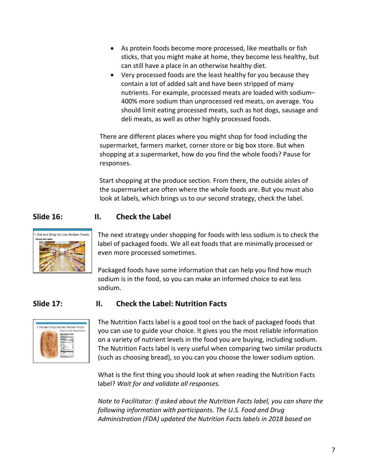- As protein foods become more processed, like meatballs or fish sticks, that you might make at home, they become less healthy, but can still have a place in an otherwise healthy diet.
- Very processed foods are the least healthy for you because they contain a lot of added salt and have been stripped of many nutrients. For example, processed meats are loaded with sodium– 400% more sodium than unprocessed red meats, on average. You should limit eating processed meats, such as hot dogs, sausage and deli meats, as well as other highly processed foods.

There are different places where you might shop for food including the supermarket, farmers market, corner store or big box store. But when shopping at a supermarket, how do you find the whole foods? Pause for responses.

Start shopping at the produce section. From there, the outside aisles of the supermarket are often where the whole foods are. But you must also look at labels, which brings us to our second strategy, check the label.

### **Slide 16: II. Check the Label**



The next strategy under shopping for foods with less sodium is to check the label of packaged foods. We all eat foods that are minimally processed or even more processed sometimes.

Packaged foods have some information that can help you find how much sodium is in the food, so you can make an informed choice to eat less sodium.

#### **Slide 17: II. Check the Label: Nutrition Facts**



The Nutrition Facts label is a good tool on the back of packaged foods that you can use to guide your choice. It gives you the most reliable information on a variety of nutrient levels in the food you are buying, including sodium. The Nutrition Facts label is very useful when comparing two similar products (such as choosing bread), so you can you choose the lower sodium option.

What is the first thing you should look at when reading the Nutrition Facts label? *Wait for and validate all responses.*

*Note to Facilitator: If asked about the Nutrition Facts label, you can share the following information with participants. The U.S. Food and Drug Administration (FDA) updated the Nutrition Facts labels in 2018 based on*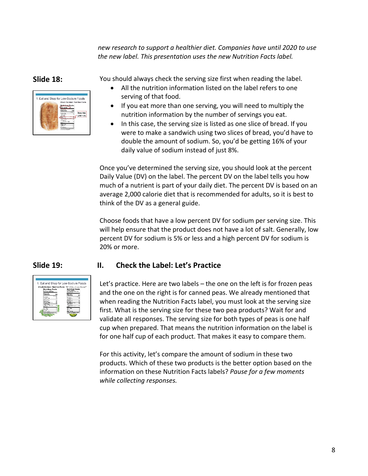*new research to support a healthier diet. Companies have until 2020 to use the new label. This presentation uses the new Nutrition Facts label.* 



**Slide 18:** You should always check the serving size first when reading the label.

- All the nutrition information listed on the label refers to one serving of that food.
- If you eat more than one serving, you will need to multiply the nutrition information by the number of servings you eat.
- In this case, the serving size is listed as one slice of bread. If you were to make a sandwich using two slices of bread, you'd have to double the amount of sodium. So, you'd be getting 16% of your daily value of sodium instead of just 8%.

Once you've determined the serving size, you should look at the percent Daily Value (DV) on the label. The percent DV on the label tells you how much of a nutrient is part of your daily diet. The percent DV is based on an average 2,000 calorie diet that is recommended for adults, so it is best to think of the DV as a general guide.

Choose foods that have a low percent DV for sodium per serving size. This will help ensure that the product does not have a lot of salt. Generally, low percent DV for sodium is 5% or less and a high percent DV for sodium is 20% or more.

#### **Slide 19: II. Check the Label: Let's Practice**



Let's practice. Here are two labels – the one on the left is for frozen peas and the one on the right is for canned peas. We already mentioned that when reading the Nutrition Facts label, you must look at the serving size first. What is the serving size for these two pea products? Wait for and validate all responses. The serving size for both types of peas is one half cup when prepared. That means the nutrition information on the label is for one half cup of each product. That makes it easy to compare them.

For this activity, let's compare the amount of sodium in these two products. Which of these two products is the better option based on the information on these Nutrition Facts labels? *Pause for a few moments while collecting responses.*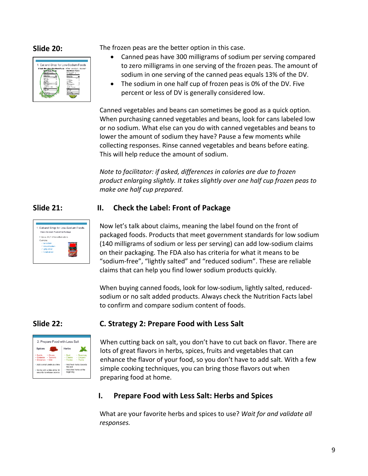

**Slide 20:** The frozen peas are the better option in this case.

- Canned peas have 300 milligrams of sodium per serving compared to zero milligrams in one serving of the frozen peas. The amount of sodium in one serving of the canned peas equals 13% of the DV.
- The sodium in one half cup of frozen peas is 0% of the DV. Five percent or less of DV is generally considered low.

Canned vegetables and beans can sometimes be good as a quick option. When purchasing canned vegetables and beans, look for cans labeled low or no sodium. What else can you do with canned vegetables and beans to lower the amount of sodium they have? Pause a few moments while collecting responses. Rinse canned vegetables and beans before eating. This will help reduce the amount of sodium.

*Note to facilitator: if asked, differences in calories are due to frozen product enlarging slightly. It takes slightly over one half cup frozen peas to make one half cup prepared.*

#### **Slide 21: II. Check the Label: Front of Package**



Now let's talk about claims, meaning the label found on the front of packaged foods. Products that meet government standards for low sodium (140 milligrams of sodium or less per serving) can add low-sodium claims on their packaging. The FDA also has criteria for what it means to be "sodium-free", "lightly salted" and "reduced sodium". These are reliable claims that can help you find lower sodium products quickly.

When buying canned foods, look for low-sodium, lightly salted, reducedsodium or no salt added products. Always check the Nutrition Facts label to confirm and compare sodium content of foods.

### **Slide 22: C. Strategy 2: Prepare Food with Less Salt**



When cutting back on salt, you don't have to cut back on flavor. There are lots of great flavors in herbs, spices, fruits and vegetables that can enhance the flavor of your food, so you don't have to add salt. With a few simple cooking techniques, you can bring those flavors out when preparing food at home.

### **I. Prepare Food with Less Salt: Herbs and Spices**

What are your favorite herbs and spices to use? *Wait for and validate all responses.*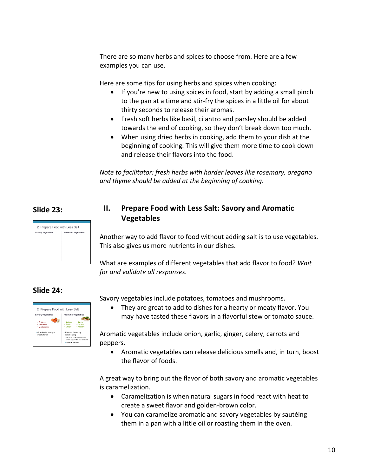There are so many herbs and spices to choose from. Here are a few examples you can use.

Here are some tips for using herbs and spices when cooking:

- If you're new to using spices in food, start by adding a small pinch to the pan at a time and stir-fry the spices in a little oil for about thirty seconds to release their aromas.
- Fresh soft herbs like basil, cilantro and parsley should be added towards the end of cooking, so they don't break down too much.
- When using dried herbs in cooking, add them to your dish at the beginning of cooking. This will give them more time to cook down and release their flavors into the food.

*Note to facilitator: fresh herbs with harder leaves like rosemary, oregano and thyme should be added at the beginning of cooking.* 

### **Slide 23:**

# 2. Prepare Food with Less Salt **Dry Vegetable**

### **II. Prepare Food with Less Salt: Savory and Aromatic Vegetables**

Another way to add flavor to food without adding salt is to use vegetables. This also gives us more nutrients in our dishes.

What are examples of different vegetables that add flavor to food? *Wait for and validate all responses.*

### **Slide 24:**



Savory vegetables include potatoes, tomatoes and mushrooms.

• They are great to add to dishes for a hearty or meaty flavor. You may have tasted these flavors in a flavorful stew or tomato sauce.

Aromatic vegetables include onion, garlic, ginger, celery, carrots and peppers.

• Aromatic vegetables can release delicious smells and, in turn, boost the flavor of foods.

A great way to bring out the flavor of both savory and aromatic vegetables is caramelization.

- Caramelization is when natural sugars in food react with heat to create a sweet flavor and golden-brown color.
- You can caramelize aromatic and savory vegetables by sautéing them in a pan with a little oil or roasting them in the oven.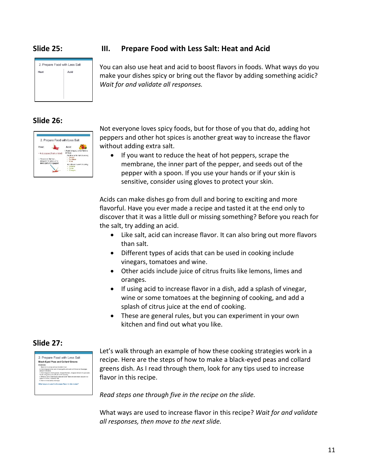#### **Slide 25:**



#### **Slide 26:**

| 2. Prepare Food with Less Salt                 |                                                                              |
|------------------------------------------------|------------------------------------------------------------------------------|
| Heat                                           | Acid                                                                         |
| . Hat peopers (fresh or dried)                 | Acida bring out other flavors<br>in food<br>Add those at the start shopping. |
| < To reduce the heat.<br>ternové tre seecs and | Verlegar<br>· Tomators<br>$-1619$                                            |
| inner part of the pepper                       | A folditus at the end of cooking<br>· Lempes<br>Leres                        |
|                                                | · Oramaes                                                                    |

### **III. Prepare Food with Less Salt: Heat and Acid**

You can also use heat and acid to boost flavors in foods. What ways do you make your dishes spicy or bring out the flavor by adding something acidic? *Wait for and validate all responses.*

Not everyone loves spicy foods, but for those of you that do, adding hot peppers and other hot spices is another great way to increase the flavor without adding extra salt.

• If you want to reduce the heat of hot peppers, scrape the membrane, the inner part of the pepper, and seeds out of the pepper with a spoon. If you use your hands or if your skin is sensitive, consider using gloves to protect your skin.

Acids can make dishes go from dull and boring to exciting and more flavorful. Have you ever made a recipe and tasted it at the end only to discover that it was a little dull or missing something? Before you reach for the salt, try adding an acid.

- Like salt, acid can increase flavor. It can also bring out more flavors than salt.
- Different types of acids that can be used in cooking include vinegars, tomatoes and wine.
- Other acids include juice of citrus fruits like lemons, limes and oranges.
- If using acid to increase flavor in a dish, add a splash of vinegar, wine or some tomatoes at the beginning of cooking, and add a splash of citrus juice at the end of cooking.
- These are general rules, but you can experiment in your own kitchen and find out what you like.

#### **Slide 27:**



Let's walk through an example of how these cooking strategies work in a recipe. Here are the steps of how to make a black-eyed peas and collard greens dish. As I read through them, look for any tips used to increase flavor in this recipe.

*Read steps one through five in the recipe on the slide.* 

What ways are used to increase flavor in this recipe? *Wait for and validate all responses, then move to the next slide.*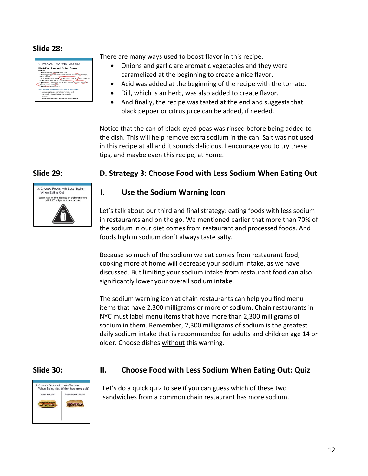#### **Slide 28:**

| 2. Prepare Food with Less Salt                                                                                                 |
|--------------------------------------------------------------------------------------------------------------------------------|
| <b>Black-Eved Peas and Collard Greens</b><br>Directions:                                                                       |
| 1. Heat oil in a large got over medium heat.                                                                                   |
| 2. Add chooped onion and minced parlic and cook until brown a the edges.<br>about 5 minutes.                                   |
| 3. Add chooped collard greens, chooped tomato, chooped dill and 2 cups water.<br>Cook until oreens are soft. 20 to 25 minutes. |
| 4. Rinse a can of hiack-eved peas and add. Taste and add black peoper or a<br>splash of citrus if needed. Ser.                 |
| 5. Serve immediately thickeniou.                                                                                               |
| What ways are used to increase flavor in this recipe?                                                                          |
| - Aromatic vegetables: caramelized onlons and garlic                                                                           |
| - Acid: tomato added at the beginning of cooking                                                                               |
| / Herbs: dill                                                                                                                  |
| - Taste at the end and add black pepper or citrus. If needed                                                                   |

There are many ways used to boost flavor in this recipe.

- Onions and garlic are aromatic vegetables and they were caramelized at the beginning to create a nice flavor.
- Acid was added at the beginning of the recipe with the tomato.
- Dill, which is an herb, was also added to create flavor.
- And finally, the recipe was tasted at the end and suggests that black pepper or citrus juice can be added, if needed.

Notice that the can of black-eyed peas was rinsed before being added to the dish. This will help remove extra sodium in the can. Salt was not used in this recipe at all and it sounds delicious. I encourage you to try these tips, and maybe even this recipe, at home.



#### **Slide 29: D. Strategy 3: Choose Food with Less Sodium When Eating Out**

#### **I. Use the Sodium Warning Icon**

Let's talk about our third and final strategy: eating foods with less sodium in restaurants and on the go. We mentioned earlier that more than 70% of the sodium in our diet comes from restaurant and processed foods. And foods high in sodium don't always taste salty.

Because so much of the sodium we eat comes from restaurant food, cooking more at home will decrease your sodium intake, as we have discussed. But limiting your sodium intake from restaurant food can also significantly lower your overall sodium intake.

The sodium warning icon at chain restaurants can help you find menu items that have 2,300 milligrams or more of sodium. Chain restaurants in NYC must label menu items that have more than 2,300 milligrams of sodium in them. Remember, 2,300 milligrams of sodium is the greatest daily sodium intake that is recommended for adults and children age 14 or older. Choose dishes without this warning.



#### **Slide 30: II. Choose Food with Less Sodium When Eating Out: Quiz**

Let's do a quick quiz to see if you can guess which of these two sandwiches from a common chain restaurant has more sodium.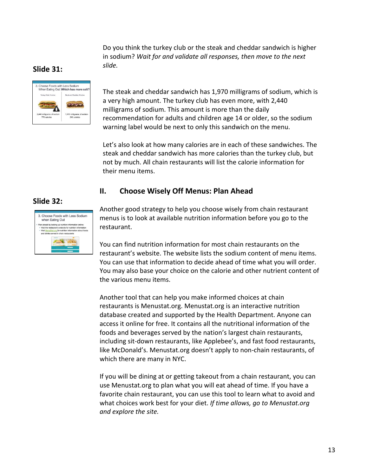Do you think the turkey club or the steak and cheddar sandwich is higher in sodium? *Wait for and validate all responses, then move to the next slide.*

### **Slide 31:**



The steak and cheddar sandwich has 1,970 milligrams of sodium, which is a very high amount. The turkey club has even more, with 2,440 milligrams of sodium. This amount is more than the daily recommendation for adults and children age 14 or older, so the sodium warning label would be next to only this sandwich on the menu.

Let's also look at how many calories are in each of these sandwiches. The steak and cheddar sandwich has more calories than the turkey club, but not by much. All chain restaurants will list the calorie information for their menu items.

#### **II. Choose Wisely Off Menus: Plan Ahead**

### **Slide 32:**



Another good strategy to help you choose wisely from chain restaurant menus is to look at available nutrition information before you go to the restaurant.

You can find nutrition information for most chain restaurants on the restaurant's website. The website lists the sodium content of menu items. You can use that information to decide ahead of time what you will order. You may also base your choice on the calorie and other nutrient content of the various menu items.

Another tool that can help you make informed choices at chain restaurants is Menustat.org. Menustat.org is an interactive nutrition database created and supported by the Health Department. Anyone can access it online for free. It contains all the nutritional information of the foods and beverages served by the nation's largest chain restaurants, including sit-down restaurants, like Applebee's, and fast food restaurants, like McDonald's. Menustat.org doesn't apply to non-chain restaurants, of which there are many in NYC.

If you will be dining at or getting takeout from a chain restaurant, you can use Menustat.org to plan what you will eat ahead of time. If you have a favorite chain restaurant, you can use this tool to learn what to avoid and what choices work best for your diet. *If time allows, go to Menustat.org and explore the site.*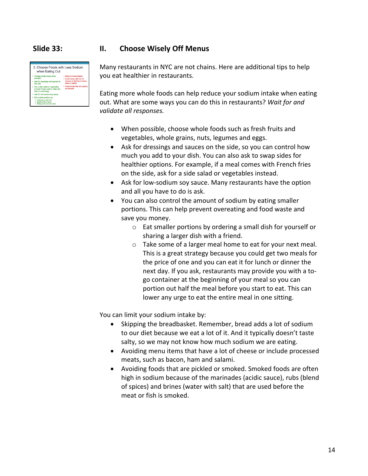| 3. Choose Foods with Less Sodium                                                                                          |                                                                                                      |  |  |
|---------------------------------------------------------------------------------------------------------------------------|------------------------------------------------------------------------------------------------------|--|--|
| when Eating Out                                                                                                           |                                                                                                      |  |  |
| Choose whole foods, when<br>possible                                                                                      | × Skip the bread basket<br>× Avoid items with lots of<br>cheese or that have bacon.<br>ham or salami |  |  |
| Ask for dressings and sauces on<br>the side                                                                               |                                                                                                      |  |  |
| ← Get a side salad or vegetables<br>instead of high sodium sides like<br>fries or onion rings                             | × Avoid foods that are pickled<br>or smoked                                                          |  |  |
| ← Ask for low-sodium sov sauce                                                                                            |                                                                                                      |  |  |
| ← Eat smaller portions by:<br>√ Ordering a small dish<br>$\checkmark$ Sharing with a friend<br>Taking some home for later |                                                                                                      |  |  |

#### **Slide 33: II. Choose Wisely Off Menus**

Many restaurants in NYC are not chains. Here are additional tips to help you eat healthier in restaurants.

Eating more whole foods can help reduce your sodium intake when eating out. What are some ways you can do this in restaurants? *Wait for and validate all responses.*

- When possible, choose whole foods such as fresh fruits and vegetables, whole grains, nuts, legumes and eggs.
- Ask for dressings and sauces on the side, so you can control how much you add to your dish. You can also ask to swap sides for healthier options. For example, if a meal comes with French fries on the side, ask for a side salad or vegetables instead.
- Ask for low-sodium soy sauce. Many restaurants have the option and all you have to do is ask.
- You can also control the amount of sodium by eating smaller portions. This can help prevent overeating and food waste and save you money.
	- o Eat smaller portions by ordering a small dish for yourself or sharing a larger dish with a friend.
	- o Take some of a larger meal home to eat for your next meal. This is a great strategy because you could get two meals for the price of one and you can eat it for lunch or dinner the next day. If you ask, restaurants may provide you with a togo container at the beginning of your meal so you can portion out half the meal before you start to eat. This can lower any urge to eat the entire meal in one sitting.

You can limit your sodium intake by:

- Skipping the breadbasket. Remember, bread adds a lot of sodium to our diet because we eat a lot of it. And it typically doesn't taste salty, so we may not know how much sodium we are eating.
- Avoiding menu items that have a lot of cheese or include processed meats, such as bacon, ham and salami.
- Avoiding foods that are pickled or smoked. Smoked foods are often high in sodium because of the marinades (acidic sauce), rubs (blend of spices) and brines (water with salt) that are used before the meat or fish is smoked.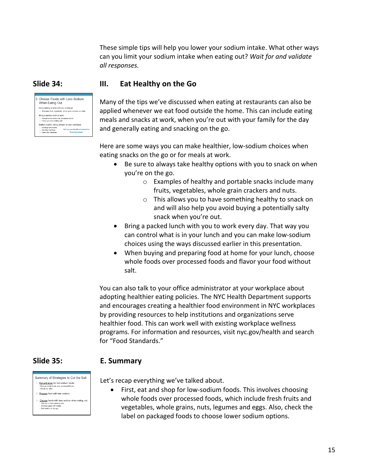These simple tips will help you lower your sodium intake. What other ways can you limit your sodium intake when eating out? *Wait for and validate all responses.*

# **Slide 34: III. Eat Healthy on the Go**

Many of the tips we've discussed when eating at restaurants can also be applied whenever we eat food outside the home. This can include eating meals and snacks at work, when you're out with your family for the day and generally eating and snacking on the go.

Here are some ways you can make healthier, low-sodium choices when eating snacks on the go or for meals at work.

- Be sure to always take healthy options with you to snack on when you're on the go.
	- o Examples of healthy and portable snacks include many fruits, vegetables, whole grain crackers and nuts.
	- o This allows you to have something healthy to snack on and will also help you avoid buying a potentially salty snack when you're out.
- Bring a packed lunch with you to work every day. That way you can control what is in your lunch and you can make low-sodium choices using the ways discussed earlier in this presentation.
- When buying and preparing food at home for your lunch, choose whole foods over processed foods and flavor your food without salt.

You can also talk to your office administrator at your workplace about adopting healthier eating policies. The NYC Health Department supports and encourages creating a healthier food environment in NYC workplaces by providing resources to help institutions and organizations serve healthier food. This can work well with existing workplace wellness programs. For information and resources, visit nyc.gov/health and search for "Food Standards."

#### **Slide 35: E. Summary**

Summary of Strategies to Cut the Salt Eat and shop for low-sodium foods.

Prepare food with less sodium.

Choose foods with less sodium when eating out. Use the socium warning i<br>Choose wisely off menus.<br>Eat healthy on the go.

Let's recap everything we've talked about.

• First, eat and shop for low-sodium foods. This involves choosing whole foods over processed foods, which include fresh fruits and vegetables, whole grains, nuts, legumes and eggs. Also, check the label on packaged foods to choose lower sodium options.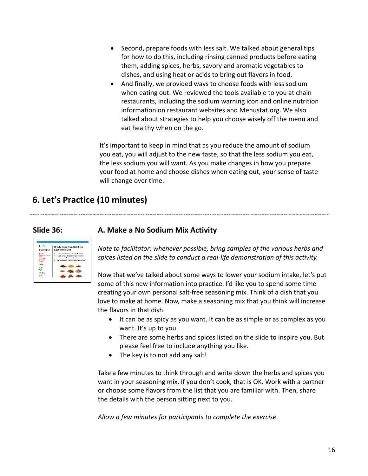- Second, prepare foods with less salt. We talked about general tips for how to do this, including rinsing canned products before eating them, adding spices, herbs, savory and aromatic vegetables to dishes, and using heat or acids to bring out flavors in food.
- And finally, we provided ways to choose foods with less sodium when eating out. We reviewed the tools available to you at chain restaurants, including the sodium warning icon and online nutrition information on restaurant websites and Menustat.org. We also talked about strategies to help you choose wisely off the menu and eat healthy when on the go.

It's important to keep in mind that as you reduce the amount of sodium you eat, you will adjust to the new taste, so that the less sodium you eat, the less sodium you will want. As you make changes in how you prepare your food at home and choose dishes when eating out, your sense of taste will change over time.

# **6. Let's Practice (10 minutes)**

### **Slide 36: A. Make a No Sodium Mix Activity**



*Note to facilitator: whenever possible, bring samples of the various herbs and spices listed on the slide to conduct a real-life demonstration of this activity.* 

Now that we've talked about some ways to lower your sodium intake, let's put some of this new information into practice. I'd like you to spend some time creating your own personal salt-free seasoning mix. Think of a dish that you love to make at home. Now, make a seasoning mix that you think will increase the flavors in that dish.

- It can be as spicy as you want. It can be as simple or as complex as you want. It's up to you.
- There are some herbs and spices listed on the slide to inspire you. But please feel free to include anything you like.
- The key is to not add any salt!

Take a few minutes to think through and write down the herbs and spices you want in your seasoning mix. If you don't cook, that is OK. Work with a partner or choose some flavors from the list that you are familiar with. Then, share the details with the person sitting next to you.

*Allow a few minutes for participants to complete the exercise.*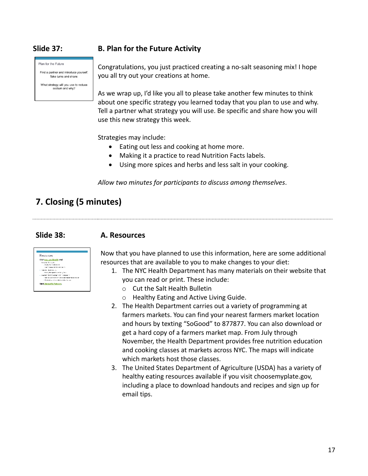Plan for the Future

Find a partner and introduce vourself. Take turns and share

What strategy will you use to reduce sodium and why?

### **Slide 37: B. Plan for the Future Activity**

Congratulations, you just practiced creating a no-salt seasoning mix! I hope you all try out your creations at home.

As we wrap up, I'd like you all to please take another few minutes to think about one specific strategy you learned today that you plan to use and why. Tell a partner what strategy you will use. Be specific and share how you will use this new strategy this week.

Strategies may include:

- Eating out less and cooking at home more.
- Making it a practice to read Nutrition Facts labels.
- Using more spices and herbs and less salt in your cooking.

*Allow two minutes for participants to discuss among themselves*.

# **7. Closing (5 minutes)**

#### **Slide 38: A. Resources**



Now that you have planned to use this information, here are some additional resources that are available to you to make changes to your diet:

- 1. The NYC Health Department has many materials on their website that you can read or print. These include:
	- o Cut the Salt Health Bulletin
	- o Healthy Eating and Active Living Guide.
- 2. The Health Department carries out a variety of programming at farmers markets. You can find your nearest farmers market location and hours by texting "SoGood" to 877877. You can also download or get a hard copy of a farmers market map. From July through November, the Health Department provides free nutrition education and cooking classes at markets across NYC. The maps will indicate which markets host those classes.
- 3. The United States Department of Agriculture (USDA) has a variety of healthy eating resources available if you visit choosemyplate.gov, including a place to download handouts and recipes and sign up for email tips.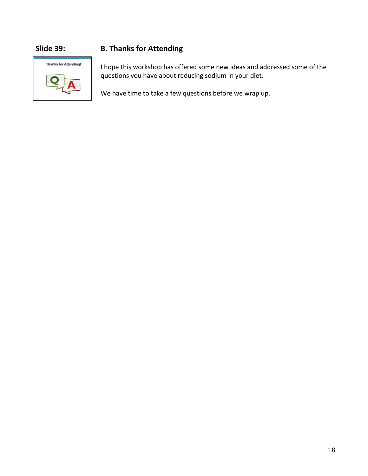

### **Slide 39: B. Thanks for Attending**

I hope this workshop has offered some new ideas and addressed some of the questions you have about reducing sodium in your diet.

We have time to take a few questions before we wrap up.